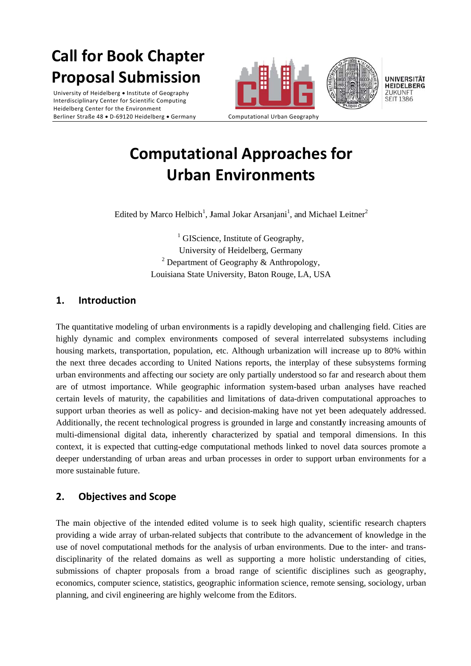# **Call for Book Chapter Proposal Submission**

University of Heidelberg • Institute of Geography Interdisciplinary Center for Scientific Computing Heidelberg Center for the Environment Berliner Straße 48 · D-69120 Heidelberg · Germany





Computational Urban Geography

## **Computational Approaches for Urban Environments**

Edited by Marco Helbich<sup>1</sup>, Jamal Jokar Arsanjani<sup>1</sup>, and Michael Leitner<sup>2</sup>

 $\frac{1}{1}$  GIScience, Institute of Geography, University of Heidelberg, Germany <sup>2</sup> Department of Geography & Anthropology, Louisiana State University, Baton Rouge, LA, USA

#### $\mathbf 1$ **Introduction**

The quantitative modeling of urban environments is a rapidly developing and challenging field. Cities are highly dynamic and complex environments composed of several interrelated subsystems including housing markets, transportation, population, etc. Although urbanization will increase up to 80% within the next three decades according to United Nations reports, the interplay of these subsystems forming urban environments and affecting our society are only partially understood so far and research about them are of utmost importance. While geographic information system-based urban analyses have reached certain levels of maturity, the capabilities and limitations of data-driven computational approaches to support urban theories as well as policy- and decision-making have not yet been adequately addressed. Additionally, the recent technological progress is grounded in large and constantly increasing amounts of multi-dimensional digital data, inherently characterized by spatial and temporal dimensions. In this context, it is expected that cutting-edge computational methods linked to novel data sources promote a deeper understanding of urban areas and urban processes in order to support urban environments for a more sustainable future.

### $2.$ **Objectives and Scope**

The main objective of the intended edited volume is to seek high quality, scientific research chapters providing a wide array of urban-related subjects that contribute to the advancement of knowledge in the use of novel computational methods for the analysis of urban environments. Due to the inter- and transdisciplinarity of the related domains as well as supporting a more holistic understanding of cities. submissions of chapter proposals from a broad range of scientific disciplines such as geography, economics, computer science, statistics, geographic information science, remote sensing, sociology, urban planning, and civil engineering are highly welcome from the Editors.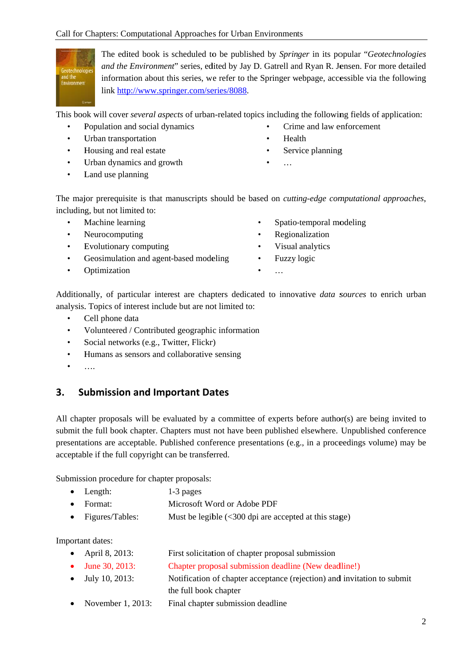

The edited book is scheduled to be published by Springer in its popular "Geotechnologies" and the Environment" series, edited by Jay D. Gatrell and Ryan R. Jensen. For more detailed information about this series, we refer to the Springer webpage, accessible via the following link http://www.springer.com/series/8088.

This book will cover *several aspects* of urban-related topics including the following fields of application:

- Population and social dynamics  $\bullet$
- Urban transportation  $\bullet$
- Housing and real estate  $\bullet$
- Urban dynamics and growth  $\bullet$
- Land use planning  $\bullet$
- Crime and law enforcement  $\bullet$
- Health  $\bullet$
- Service planning
- $\ddots$

The major prerequisite is that manuscripts should be based on *cutting-edge computational approaches*, including, but not limited to:

- Machine learning
- Neurocomputing  $\bullet$
- $\bullet$ Evolutionary computing
- Geosimulation and agent-based modeling  $\bullet$
- Optimization  $\bullet$
- Spatio-temporal modeling
- Regionalization  $\bullet$
- Visual analytics
- Fuzzy logic  $\bullet$
- $\cdots$

Additionally, of particular interest are chapters dedicated to innovative *data sources* to enrich urban analysis. Topics of interest include but are not limited to:

- $\bullet$ Cell phone data
- Volunteered / Contributed geographic information  $\bullet$
- Social networks (e.g., Twitter, Flickr)
- Humans as sensors and collaborative sensing  $\bullet$
- $\dddotsc$

### **Submission and Important Dates**  $3.$

All chapter proposals will be evaluated by a committee of experts before author(s) are being invited to submit the full book chapter. Chapters must not have been published elsewhere. Unpublished conference presentations are acceptable. Published conference presentations (e.g., in a proceedings volume) may be acceptable if the full copyright can be transferred.

Submission procedure for chapter proposals:

- $\bullet$ Length:  $1-3$  pages
- Format: Microsoft Word or Adobe PDF
- Figures/Tables: Must be legible  $\left( < 300 \right)$  dpi are accepted at this stage)  $\bullet$

Important dates:

- April 8, 2013: First solicitation of chapter proposal submission
- June 30, 2013: Chapter proposal submission deadline (New deadline!)
- $\bullet$  July 10, 2013: Notification of chapter acceptance (rejection) and invitation to submit
- the full book chapter • November 1, 2013: Final chapter submission deadline